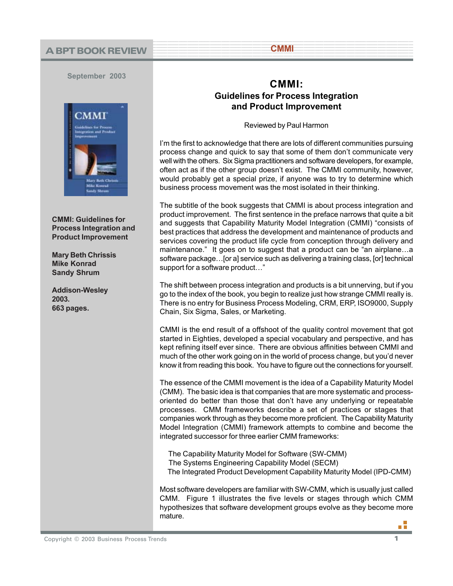## <sup>1</sup> <sup>9</sup> **A BPT BOOK REVIEW**

**September 2003**



**CMMI: Guidelines for Process Integration and Product Improvement**

**Mary Beth Chrissis Mike Konrad Sandy Shrum**

**Addison-Wesley 2003. 663 pages.**

## **CMMI: Guidelines for Process Integration and Product Improvement**

123456789012345678901234567890121234567890123456789012345678901212345678901234567890123456789 123456789012345678901234567890121234567890123456789012345678901212345678901234567890123456789 123456789012345678901234567890121234567890123456789012345678901212345678901234567890123456789 1 91 91 92 93 94 95 96 96 97 98 98 99 99 90 91 92 93 94 95 96 97 98 98 999 900 91 92 93 94 95 95 96 97 97 97 9 12345678901234567890123456789012345678901234567890123456789012345678901234567890123456789012345678901234567890

123456789012345678901234567890121234567890123456789012345678901212345678901234567890123456789

12345678901234567890123456789012123456789012 1 2 **CMMI** 12345678901234567890123456789012123456789012

Reviewed by Paul Harmon

I'm the first to acknowledge that there are lots of different communities pursuing process change and quick to say that some of them don't communicate very well with the others. Six Sigma practitioners and software developers, for example, often act as if the other group doesn't exist. The CMMI community, however, would probably get a special prize, if anyone was to try to determine which business process movement was the most isolated in their thinking.

The subtitle of the book suggests that CMMI is about process integration and product improvement. The first sentence in the preface narrows that quite a bit and suggests that Capability Maturity Model Integration (CMMI) "consists of best practices that address the development and maintenance of products and services covering the product life cycle from conception through delivery and maintenance." It goes on to suggest that a product can be "an airplane…a software package…[or a] service such as delivering a training class, [or] technical support for a software product…"

The shift between process integration and products is a bit unnerving, but if you go to the index of the book, you begin to realize just how strange CMMI really is. There is no entry for Business Process Modeling, CRM, ERP, ISO9000, Supply Chain, Six Sigma, Sales, or Marketing.

CMMI is the end result of a offshoot of the quality control movement that got started in Eighties, developed a special vocabulary and perspective, and has kept refining itself ever since. There are obvious affinities between CMMI and much of the other work going on in the world of process change, but you'd never know it from reading this book. You have to figure out the connections for yourself.

The essence of the CMMI movement is the idea of a Capability Maturity Model (CMM). The basic idea is that companies that are more systematic and processoriented do better than those that don't have any underlying or repeatable processes. CMM frameworks describe a set of practices or stages that companies work through as they become more proficient. The Capability Maturity Model Integration (CMMI) framework attempts to combine and become the integrated successor for three earlier CMM frameworks:

 The Capability Maturity Model for Software (SW-CMM) The Systems Engineering Capability Model (SECM) The Integrated Product Development Capability Maturity Model (IPD-CMM)

Most software developers are familiar with SW-CMM, which is usually just called CMM. Figure 1 illustrates the five levels or stages through which CMM hypothesizes that software development groups evolve as they become more mature.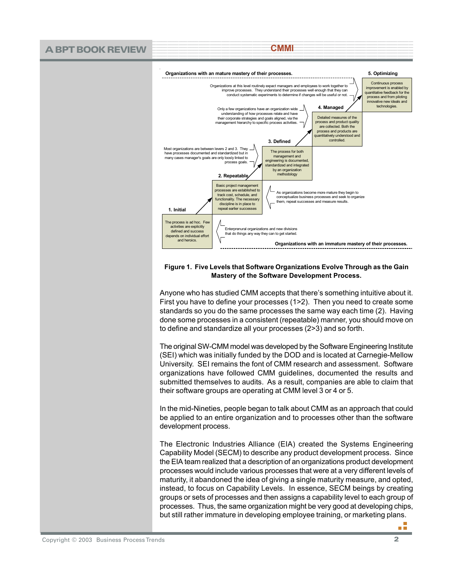

## **Figure 1. Five Levels that Software Organizations Evolve Through as the Gain Mastery of the Software Development Process.**

Anyone who has studied CMM accepts that there's something intuitive about it. First you have to define your processes (1>2). Then you need to create some standards so you do the same processes the same way each time (2). Having done some processes in a consistent (repeatable) manner, you should move on to define and standardize all your processes (2>3) and so forth.

The original SW-CMM model was developed by the Software Engineering Institute (SEI) which was initially funded by the DOD and is located at Carnegie-Mellow University. SEI remains the font of CMM research and assessment. Software organizations have followed CMM guidelines, documented the results and submitted themselves to audits. As a result, companies are able to claim that their software groups are operating at CMM level 3 or 4 or 5.

In the mid-Nineties, people began to talk about CMM as an approach that could be applied to an entire organization and to processes other than the software development process.

The Electronic Industries Alliance (EIA) created the Systems Engineering Capability Model (SECM) to describe any product development process. Since the EIA team realized that a description of an organizations product development processes would include various processes that were at a very different levels of maturity, it abandoned the idea of giving a single maturity measure, and opted, instead, to focus on Capability Levels. In essence, SECM beings by creating groups or sets of processes and then assigns a capability level to each group of processes. Thus, the same organization might be very good at developing chips, but still rather immature in developing employee training, or marketing plans.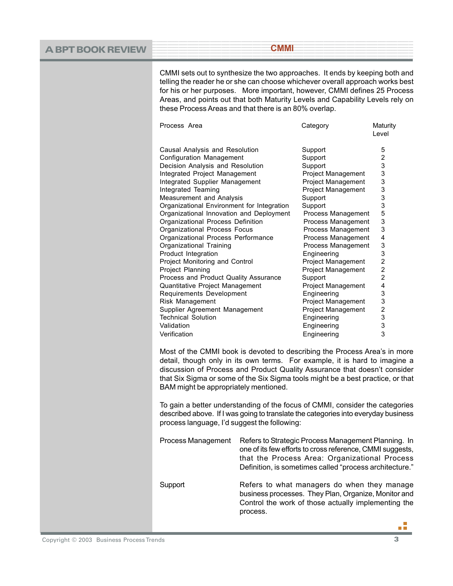| <b>A BPT BOOK REVIEW</b> | <b>CMMI</b>                                                                                                                                                                                                                                                                                                                                                                                                                                                                                                                                                                                                                                                                                                                                                                                                                          |  |                                                                                                                                                                                                                                                                                                                                                                                                                                                |                                                                                                                                                                                                              |
|--------------------------|--------------------------------------------------------------------------------------------------------------------------------------------------------------------------------------------------------------------------------------------------------------------------------------------------------------------------------------------------------------------------------------------------------------------------------------------------------------------------------------------------------------------------------------------------------------------------------------------------------------------------------------------------------------------------------------------------------------------------------------------------------------------------------------------------------------------------------------|--|------------------------------------------------------------------------------------------------------------------------------------------------------------------------------------------------------------------------------------------------------------------------------------------------------------------------------------------------------------------------------------------------------------------------------------------------|--------------------------------------------------------------------------------------------------------------------------------------------------------------------------------------------------------------|
|                          | CMMI sets out to synthesize the two approaches. It ends by keeping both and<br>telling the reader he or she can choose whichever overall approach works best<br>for his or her purposes. More important, however, CMMI defines 25 Process<br>Areas, and points out that both Maturity Levels and Capability Levels rely on<br>these Process Areas and that there is an 80% overlap.                                                                                                                                                                                                                                                                                                                                                                                                                                                  |  |                                                                                                                                                                                                                                                                                                                                                                                                                                                |                                                                                                                                                                                                              |
|                          | Process Area                                                                                                                                                                                                                                                                                                                                                                                                                                                                                                                                                                                                                                                                                                                                                                                                                         |  | Category                                                                                                                                                                                                                                                                                                                                                                                                                                       | Maturity<br>Level                                                                                                                                                                                            |
|                          | Causal Analysis and Resolution<br>Configuration Management<br>Decision Analysis and Resolution<br>Integrated Project Management<br>Integrated Supplier Management<br>Integrated Teaming<br>Measurement and Analysis<br>Organizational Environment for Integration<br>Organizational Innovation and Deployment<br>Organizational Process Definition<br>Organizational Process Focus<br>Organizational Process Performance<br>Organizational Training<br>Product Integration<br>Project Monitoring and Control<br>Project Planning<br>Process and Product Quality Assurance<br>Quantitative Project Management<br>Requirements Development<br>Risk Management<br>Supplier Agreement Management<br><b>Technical Solution</b><br>Validation<br>Verification<br>Most of the CMMI book is devoted to describing the Process Area's in more |  | Support<br>Support<br>Support<br>Project Management<br>Project Management<br><b>Project Management</b><br>Support<br>Support<br>Process Management<br>Process Management<br>Process Management<br>Process Management<br>Process Management<br>Engineering<br>Project Management<br>Project Management<br>Support<br>Project Management<br>Engineering<br>Project Management<br>Project Management<br>Engineering<br>Engineering<br>Engineering | 5<br>2<br>3<br>3<br>3<br>3<br>3<br>3<br>5<br>3<br>3<br>4<br>3<br>3<br>$\overline{\mathbf{c}}$<br>$\overline{\mathbf{c}}$<br>$\overline{\mathbf{c}}$<br>4<br>3<br>3<br>$\overline{\mathbf{c}}$<br>3<br>3<br>3 |
|                          | detail, though only in its own terms. For example, it is hard to imagine a<br>discussion of Process and Product Quality Assurance that doesn't consider<br>that Six Sigma or some of the Six Sigma tools might be a best practice, or that<br>BAM might be appropriately mentioned.<br>To gain a better understanding of the focus of CMMI, consider the categories<br>described above. If I was going to translate the categories into everyday business<br>process language, I'd suggest the following:                                                                                                                                                                                                                                                                                                                            |  |                                                                                                                                                                                                                                                                                                                                                                                                                                                |                                                                                                                                                                                                              |
|                          |                                                                                                                                                                                                                                                                                                                                                                                                                                                                                                                                                                                                                                                                                                                                                                                                                                      |  |                                                                                                                                                                                                                                                                                                                                                                                                                                                |                                                                                                                                                                                                              |
|                          | Process Management<br>Refers to Strategic Process Management Planning. In<br>one of its few efforts to cross reference, CMMI suggests,<br>that the Process Area: Organizational Process<br>Definition, is sometimes called "process architecture."<br>Support<br>Refers to what managers do when they manage<br>business processes. They Plan, Organize, Monitor and<br>Control the work of those actually implementing the<br>process.                                                                                                                                                                                                                                                                                                                                                                                              |  |                                                                                                                                                                                                                                                                                                                                                                                                                                                |                                                                                                                                                                                                              |
|                          |                                                                                                                                                                                                                                                                                                                                                                                                                                                                                                                                                                                                                                                                                                                                                                                                                                      |  |                                                                                                                                                                                                                                                                                                                                                                                                                                                |                                                                                                                                                                                                              |
|                          |                                                                                                                                                                                                                                                                                                                                                                                                                                                                                                                                                                                                                                                                                                                                                                                                                                      |  |                                                                                                                                                                                                                                                                                                                                                                                                                                                | ПT                                                                                                                                                                                                           |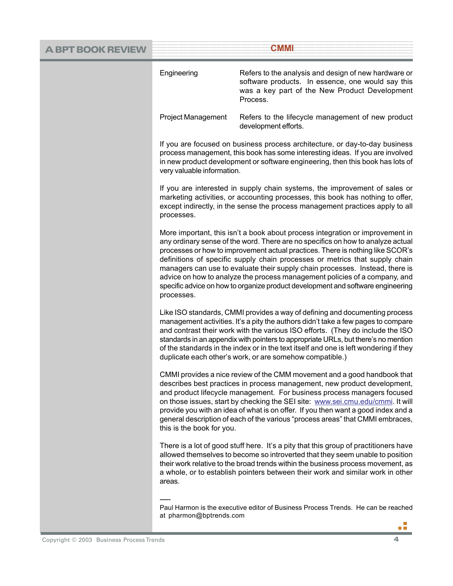| A BPT BOOK REVIEW | <b>CMMI</b>                                                                                                                                                                                                                                                                                                                                                                                                                                                                                                                                                                                                                                                                                                                                                                                                                                                                                                                                                                                                                                                                                                                                     |                                                                                                                                                                                                                                                                                                                                                                                                                                                                                               |  |
|-------------------|-------------------------------------------------------------------------------------------------------------------------------------------------------------------------------------------------------------------------------------------------------------------------------------------------------------------------------------------------------------------------------------------------------------------------------------------------------------------------------------------------------------------------------------------------------------------------------------------------------------------------------------------------------------------------------------------------------------------------------------------------------------------------------------------------------------------------------------------------------------------------------------------------------------------------------------------------------------------------------------------------------------------------------------------------------------------------------------------------------------------------------------------------|-----------------------------------------------------------------------------------------------------------------------------------------------------------------------------------------------------------------------------------------------------------------------------------------------------------------------------------------------------------------------------------------------------------------------------------------------------------------------------------------------|--|
|                   | Engineering                                                                                                                                                                                                                                                                                                                                                                                                                                                                                                                                                                                                                                                                                                                                                                                                                                                                                                                                                                                                                                                                                                                                     | Refers to the analysis and design of new hardware or<br>software products. In essence, one would say this<br>was a key part of the New Product Development<br>Process.                                                                                                                                                                                                                                                                                                                        |  |
|                   | <b>Project Management</b>                                                                                                                                                                                                                                                                                                                                                                                                                                                                                                                                                                                                                                                                                                                                                                                                                                                                                                                                                                                                                                                                                                                       | Refers to the lifecycle management of new product<br>development efforts.                                                                                                                                                                                                                                                                                                                                                                                                                     |  |
|                   | If you are focused on business process architecture, or day-to-day business<br>process management, this book has some interesting ideas. If you are involved<br>in new product development or software engineering, then this book has lots of<br>very valuable information.<br>If you are interested in supply chain systems, the improvement of sales or<br>marketing activities, or accounting processes, this book has nothing to offer,<br>except indirectly, in the sense the process management practices apply to all<br>processes.<br>More important, this isn't a book about process integration or improvement in<br>any ordinary sense of the word. There are no specifics on how to analyze actual<br>processes or how to improvement actual practices. There is nothing like SCOR's<br>definitions of specific supply chain processes or metrics that supply chain<br>managers can use to evaluate their supply chain processes. Instead, there is<br>advice on how to analyze the process management policies of a company, and<br>specific advice on how to organize product development and software engineering<br>processes. |                                                                                                                                                                                                                                                                                                                                                                                                                                                                                               |  |
|                   |                                                                                                                                                                                                                                                                                                                                                                                                                                                                                                                                                                                                                                                                                                                                                                                                                                                                                                                                                                                                                                                                                                                                                 |                                                                                                                                                                                                                                                                                                                                                                                                                                                                                               |  |
|                   |                                                                                                                                                                                                                                                                                                                                                                                                                                                                                                                                                                                                                                                                                                                                                                                                                                                                                                                                                                                                                                                                                                                                                 |                                                                                                                                                                                                                                                                                                                                                                                                                                                                                               |  |
|                   |                                                                                                                                                                                                                                                                                                                                                                                                                                                                                                                                                                                                                                                                                                                                                                                                                                                                                                                                                                                                                                                                                                                                                 | Like ISO standards, CMMI provides a way of defining and documenting process<br>management activities. It's a pity the authors didn't take a few pages to compare<br>and contrast their work with the various ISO efforts. (They do include the ISO<br>standards in an appendix with pointers to appropriate URLs, but there's no mention<br>of the standards in the index or in the text itself and one is left wondering if they<br>duplicate each other's work, or are somehow compatible.) |  |
|                   | this is the book for you.                                                                                                                                                                                                                                                                                                                                                                                                                                                                                                                                                                                                                                                                                                                                                                                                                                                                                                                                                                                                                                                                                                                       | CMMI provides a nice review of the CMM movement and a good handbook that<br>describes best practices in process management, new product development,<br>and product lifecycle management. For business process managers focused<br>on those issues, start by checking the SEI site: www.sei.cmu.edu/cmmi. It will<br>provide you with an idea of what is on offer. If you then want a good index and a<br>general description of each of the various "process areas" that CMMI embraces,      |  |
|                   | areas.                                                                                                                                                                                                                                                                                                                                                                                                                                                                                                                                                                                                                                                                                                                                                                                                                                                                                                                                                                                                                                                                                                                                          | There is a lot of good stuff here. It's a pity that this group of practitioners have<br>allowed themselves to become so introverted that they seem unable to position<br>their work relative to the broad trends within the business process movement, as<br>a whole, or to establish pointers between their work and similar work in other                                                                                                                                                   |  |
|                   |                                                                                                                                                                                                                                                                                                                                                                                                                                                                                                                                                                                                                                                                                                                                                                                                                                                                                                                                                                                                                                                                                                                                                 |                                                                                                                                                                                                                                                                                                                                                                                                                                                                                               |  |

Paul Harmon is the executive editor of Business Process Trends. He can be reached at pharmon@bptrends.coma B